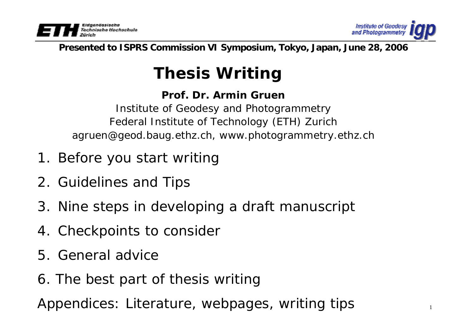



#### **Presented to ISPRS Commission VI Symposium, Tokyo, Japan, June 28, 2006**

# **Thesis Writing**

### **Prof. Dr. Armin Gruen**

Institute of Geodesy and Photogrammetry Federal Institute of Technology (ETH) Zurich agruen@geod.baug.ethz.ch, www.photogrammetry.ethz.ch

- 1. Before you start writing
- 2. Guidelines and Tips
- 3. Nine steps in developing a draft manuscript
- 4. Checkpoints to consider
- 5. General advice
- 6. The best part of thesis writing

Appendices: Literature, webpages, writing tips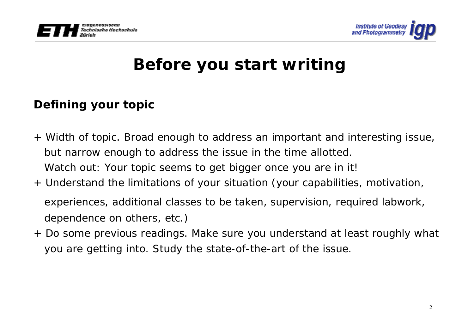



# **Defining your topic**

- <sup>+</sup>*Width of topic*. Broad enough to address an important and interesting issue, but narrow enough to address the issue in the time allotted. Watch out: Your topic seems to get bigger once you are in it!
- <sup>+</sup>*Understand the limitations of your situation* (your capabilities, motivation, experiences, additional classes to be taken, supervision, required labwork, dependence on others, etc.)
- <sup>+</sup>*Do some previous readings*. Make sure you understand at least roughly what you are getting into. Study the state-of-the-art of the issue.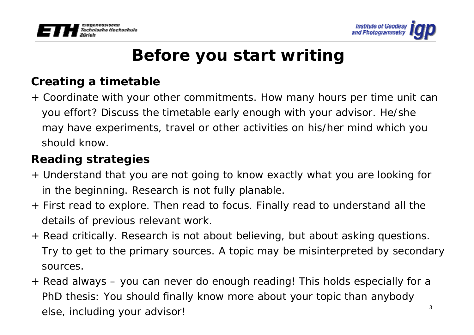



# **Creating a timetable**

<sup>+</sup>*Coordinate with your other commitments*. How many hours per time unit can you effort? Discuss the timetable early enough with your advisor. He/she may have experiments, travel or other activities on his/her mind which you should know.

# **Reading strategies**

- <sup>+</sup>*Understand that you are not going to know exactly what you are looking for in the beginning*. Research is not fully planable.
- <sup>+</sup>*First read to explore*. Then read to focus. Finally read to understand all the details of previous relevant work.
- <sup>+</sup>*Read critically*. Research is not about believing, but about asking questions. Try to get to the primary sources. A topic may be misinterpreted by secondary sources.
- 3<sup>+</sup>*Read always* – you can never do enough reading! This holds especially for a PhD thesis: You should finally know more about your topic than anybody else, including your advisor!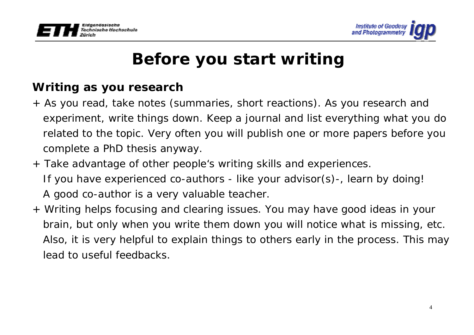



### **Writing as you research**

- <sup>+</sup>*As you read, take notes* (summaries, short reactions). As you research and experiment, write things down. Keep a journal and list everything what you do related to the topic. Very often you will publish one or more papers before you complete a PhD thesis anyway.
- <sup>+</sup>*Take advantage of other people's writing skills and experiences.* If you have experienced co-authors - like your advisor(s)-, learn by doing! A good co-author is a very valuable teacher.
- <sup>+</sup>*Writing helps focusing and clearing issues*. You may have good ideas in your brain, but only when you write them down you will notice what is missing, etc. Also, it is very helpful to explain things to others early in the process. This may lead to useful feedbacks.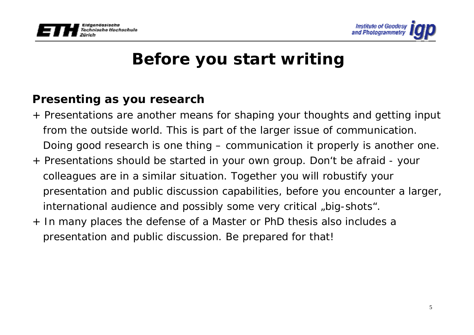



### **Presenting as you research**

- <sup>+</sup>*Presentations are another means for shaping your thoughts* and getting input from the outside world. This is part of the larger issue of communication. Doing good research is one thing – communication it properly is another one.
- <sup>+</sup>*Presentations should be started in your own group*. Don't be afraid your colleagues are in a similar situation. Together you will robustify your presentation and public discussion capabilities, before you encounter a larger, international audience and possibly some very critical "big-shots".
- + In many places the *defense of a Master or PhD thesis also includes a presentation and public discussion*. Be prepared for that!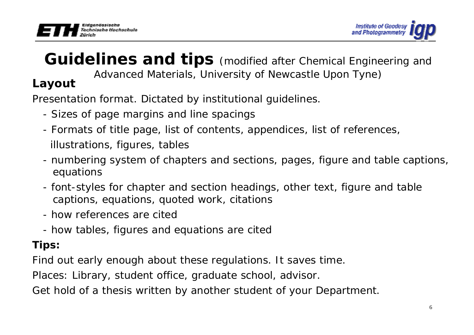



# **Guidelines and tips** (modified after Chemical Engineering and Advanced Materials, University of Newcastle Upon Tyne) **Layout**

Presentation format. Dictated by institutional guidelines.

- Sizes of page margins and line spacings
- Formats of title page, list of contents, appendices, list of references, illustrations, figures, tables
- numbering system of chapters and sections, pages, figure and table captions, equations
- font-styles for chapter and section headings, other text, figure and table captions, equations, quoted work, citations
- how references are cited
- how tables, figures and equations are cited

# *Tips:*

Find out early enough about these regulations. It saves time.

Places: Library, student office, graduate school, advisor.

Get hold of a thesis written by another student of your Department.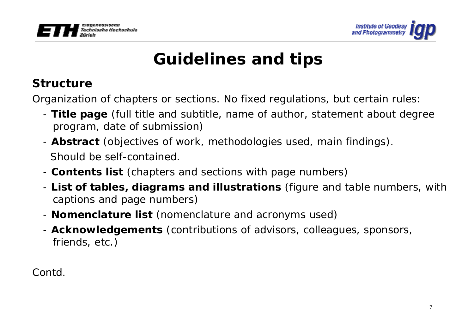



# **Structure**

Organization of chapters or sections. No fixed regulations, but certain rules:

- - **Title page** (full title and subtitle, name of author, statement about degree program, date of submission)
- **Abstract** (objectives of work, methodologies used, main findings). Should be self-contained.
- **Contents list** (chapters and sections with page numbers)
- - **List of tables, diagrams and illustrations** (figure and table numbers, with captions and page numbers)
- **Nomenclature list** (nomenclature and acronyms used)
- - **Acknowledgements** (contributions of advisors, colleagues, sponsors, friends, etc.)

Contd.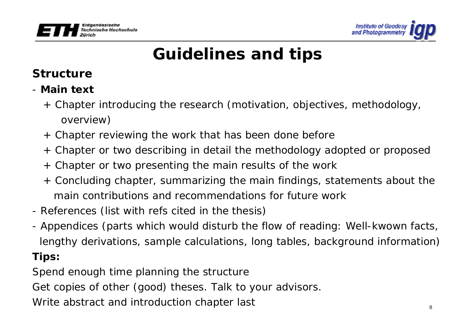



# **Structure**

- **Main text**
	- + Chapter introducing the research (motivation, objectives, methodology, overview)
	- + Chapter reviewing the work that has been done before
	- + Chapter or two describing in detail the methodology adopted or proposed
	- + Chapter or two presenting the main results of the work
	- + Concluding chapter, summarizing the main findings, statements about the main contributions and recommendations for future work
- References (list with refs cited in the thesis)
- Appendices (parts which would disturb the flow of reading: Well-kwown facts, lengthy derivations, sample calculations, long tables, background information) *Tips:*

Spend enough time planning the structure

Get copies of other (good) theses. Talk to your advisors.

Write abstract and introduction chapter last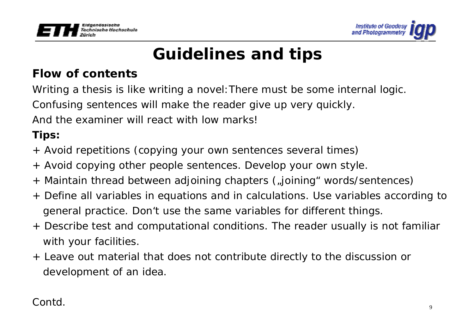



# **Flow of contents**

Writing a thesis is like writing a novel:There must be some internal logic. Confusing sentences will make the reader give up very quickly. And the examiner will react with low marks!

- + Avoid repetitions (copying your own sentences several times)
- + Avoid copying other people sentences. Develop your own style.
- + Maintain thread between adjoining chapters ("joining" words/sentences)
- + Define all variables in equations and in calculations. Use variables according to general practice. Don't use the same variables for different things.
- + Describe test and computational conditions. The reader usually is not familiar with your facilities.
- + Leave out material that does not contribute directly to the discussion or development of an idea.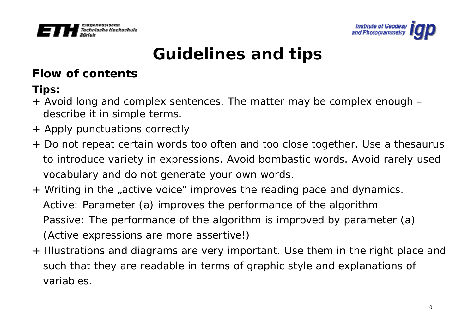



# **Flow of contents**

- + Avoid long and complex sentences. The matter may be complex enough describe it in simple terms.
- + Apply punctuations correctly
- + Do not repeat certain words too often and too close together. Use a thesaurus to introduce variety in expressions. Avoid bombastic words. Avoid rarely used vocabulary and do not generate your own words.
- + Writing in the "active voice" improves the reading pace and dynamics. Active: *Parameter (a) improves the performance of the algorithm* Passive: *The performance of the algorithm is improved by parameter (a)* (Active expressions are more assertive!)
- + Illustrations and diagrams are very important. Use them in the right place and such that they are readable in terms of graphic style and explanations of variables.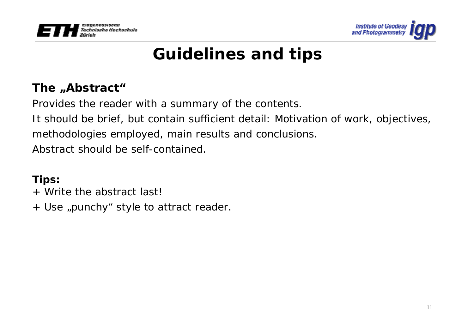



# The "Abstract"

Provides the reader with a summary of the contents.

It should be brief, but contain sufficient detail: Motivation of work, objectives,

methodologies employed, main results and conclusions.

Abstract should be self-contained.

- + Write the abstract last!
- + Use "punchy" style to attract reader.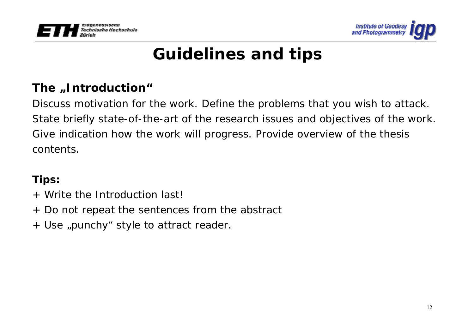



# The "Introduction"

Discuss motivation for the work. Define the problems that you wish to attack. State briefly state-of-the-art of the research issues and objectives of the work. Give indication how the work will progress. Provide overview of the thesis contents.

- + Write the Introduction last!
- + Do not repeat the sentences from the abstract
- + Use "punchy" style to attract reader.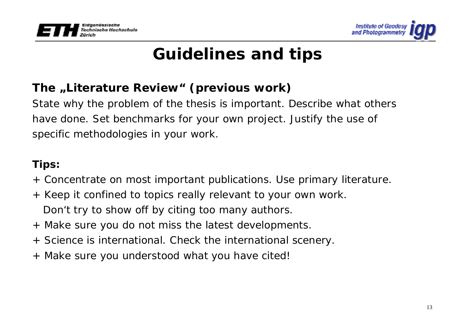



# The "Literature Review" (previous work)

State why the problem of the thesis is important. Describe what others have done. Set benchmarks for your own project. Justify the use of specific methodologies in your work.

- + Concentrate on most important publications. Use primary literature.
- + Keep it confined to topics really relevant to your own work. Don't try to show off by citing too many authors.
- + Make sure you do not miss the latest developments.
- + Science is international. Check the international scenery.
- + Make sure you understood what you have cited!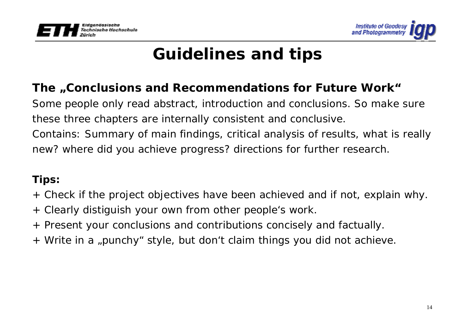



## The "Conclusions and Recommendations for Future Work"

Some people only read abstract, introduction and conclusions. So make sure these three chapters are internally consistent and conclusive.

Contains: Summary of main findings, critical analysis of results, what is really new? where did you achieve progress? directions for further research.

- + Check if the project objectives have been achieved and if not, explain why.
- + Clearly distiguish your own from other people's work.
- + Present your conclusions and contributions concisely and factually.
- + Write in a "punchy" style, but don't claim things you did not achieve.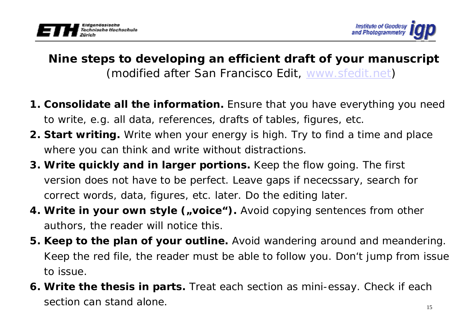



# **Nine steps to developing an efficient draft of your manuscript**  (modified after San Francisco Edit, www.sfedit.net)

- **1. Consolidate all the information.** Ensure that you have everything you need to write, e.g. all data, references, drafts of tables, figures, etc.
- **2. Start writing.** Write when your energy is high. Try to find a time and place where you can think and write without distractions.
- **3. Write quickly and in larger portions.** Keep the flow going. The first version does not have to be perfect. Leave gaps if nececssary, search for correct words, data, figures, etc. later. Do the editing later.
- **4. Write in your own style ("voice").** Avoid copying sentences from other authors, the reader will notice this.
- **5. Keep to the plan of your outline.** Avoid wandering around and meandering. Keep the red file, the reader must be able to follow you. Don't jump from issue to issue.
- **6. Write the thesis in parts.** Treat each section as mini-essay. Check if each section can stand alone.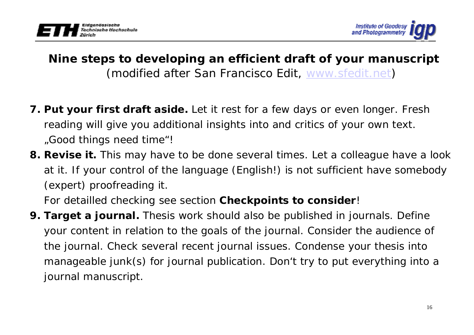



# **Nine steps to developing an efficient draft of your manuscript**  (modified after San Francisco Edit, www.sfedit.net)

- **7. Put your first draft aside.** Let it rest for a few days or even longer. Fresh reading will give you additional insights into and critics of your own text. "Good things need time"!
- **8. Revise it.** This may have to be done several times. Let a colleague have a look at it. If your control of the language (English!) is not sufficient have somebody (expert) proofreading it.

For detailled checking see section **Checkpoints to consider**!

**9. Target a journal.** Thesis work should also be published in journals. Define your content in relation to the goals of the journal. Consider the audience of the journal. Check several recent journal issues. Condense your thesis into manageable junk(s) for journal publication. Don't try to put everything into a journal manuscript.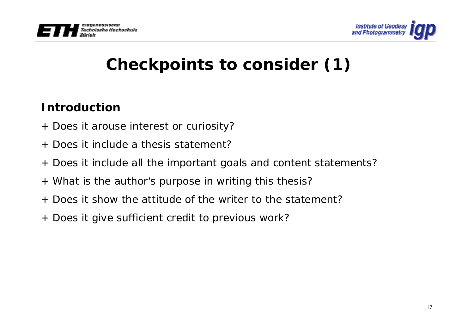



# **Checkpoints to consider (1)**

# **Introduction**

- + Does it arouse interest or curiosity?
- + Does it include a thesis statement?
- + Does it include all the important goals and content statements?
- + What is the author's purpose in writing this thesis?
- + Does it show the attitude of the writer to the statement?
- + Does it give sufficient credit to previous work?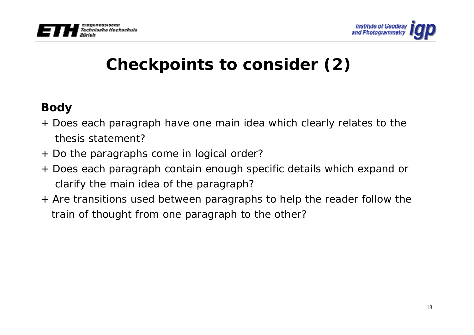



# **Checkpoints to consider (2)**

# **Body**

- + Does each paragraph have one main idea which clearly relates to the thesis statement?
- + Do the paragraphs come in logical order?
- + Does each paragraph contain enough specific details which expand or clarify the main idea of the paragraph?
- + Are transitions used between paragraphs to help the reader follow the train of thought from one paragraph to the other?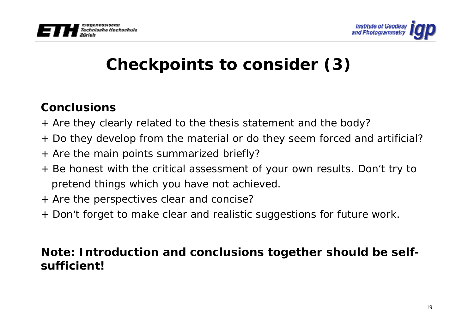



# **Checkpoints to consider (3)**

# **Conclusions**

- + Are they clearly related to the thesis statement and the body?
- + Do they develop from the material or do they seem forced and artificial?
- + Are the main points summarized briefly?
- + Be honest with the critical assessment of your own results. Don't try to pretend things which you have not achieved.
- + Are the perspectives clear and concise?
- + Don't forget to make clear and realistic suggestions for future work.

## **Note: Introduction and conclusions together should be selfsufficient!**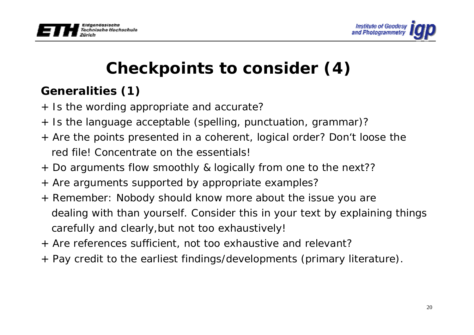



# **Checkpoints to consider (4)**

# **Generalities (1)**

- + Is the wording appropriate and accurate?
- + Is the language acceptable (spelling, punctuation, grammar)?
- + Are the points presented in a coherent, logical order? Don't loose the red file! Concentrate on the essentials!
- + Do arguments flow smoothly & logically from one to the next??
- + Are arguments supported by appropriate examples?
- + Remember: Nobody should know more about the issue you are dealing with than yourself. Consider this in your text by explaining things carefully and clearly,but not too exhaustively!
- + Are references sufficient, not too exhaustive and relevant?
- + Pay credit to the earliest findings/developments (primary literature).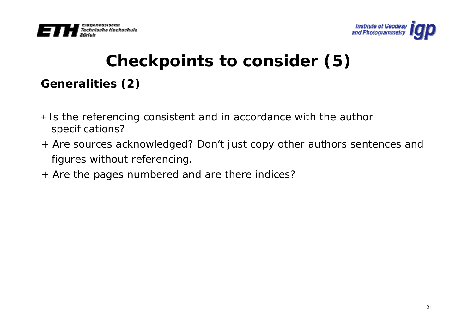



# **Checkpoints to consider (5)**

# **Generalities (2)**

- <sup>+</sup>Is the referencing consistent and in accordance with the author specifications?
- + Are sources acknowledged? Don't just copy other authors sentences and figures without referencing.
- + Are the pages numbered and are there indices?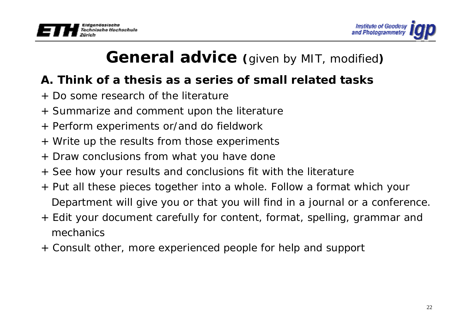



# **General advice (**given by MIT, modified**)**

# **A. Think of a thesis as a series of small related tasks**

- + Do some research of the literature
- + Summarize and comment upon the literature
- + Perform experiments or/and do fieldwork
- + Write up the results from those experiments
- + Draw conclusions from what you have done
- + See how your results and conclusions fit with the literature
- + Put all these pieces together into a whole. Follow a format which your Department will give you or that you will find in a journal or a conference.
- + Edit your document carefully for content, format, spelling, grammar and mechanics
- + Consult other, more experienced people for help and support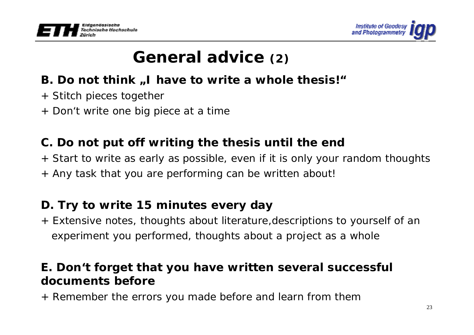



# **General advice (2)**

# **B. Do not think**, I have to write a whole thesis!"

- + Stitch pieces together
- + Don't write one big piece at a time

# **C. Do not put off writing the thesis until the end**

- + Start to write as early as possible, even if it is only your random thoughts
- + Any task that you are performing can be written about!

## **D. Try to write 15 minutes every day**

+ Extensive notes, thoughts about literature,descriptions to yourself of an experiment you performed, thoughts about a project as a whole

### **E. Don't forget that you have written several successful documents before**

+ Remember the errors you made before and learn from them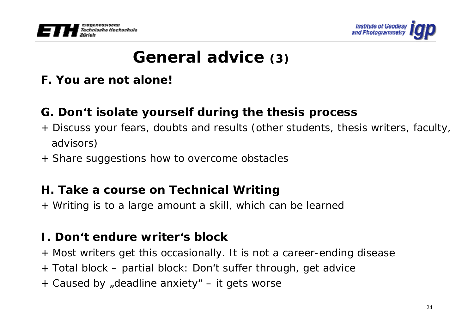



# **General advice (3)**

### **F. You are not alone!**

## **G. Don't isolate yourself during the thesis process**

- + Discuss your fears, doubts and results (other students, thesis writers, faculty, advisors)
- + Share suggestions how to overcome obstacles

### **H. Take a course on Technical Writing**

+ Writing is to a large amount a skill, which can be learned

### **I. Don't endure writer's block**

- + Most writers get this occasionally. It is not a career-ending disease
- + Total block partial block: Don't suffer through, get advice
- + Caused by "deadline anxiety" it gets worse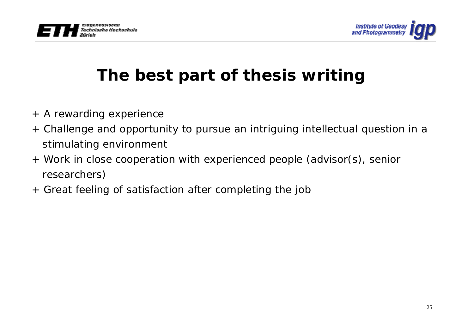



# **The best part of thesis writing**

- + A rewarding experience
- + Challenge and opportunity to pursue an intriguing intellectual question in a stimulating environment
- + Work in close cooperation with experienced people (advisor(s), senior researchers)
- + Great feeling of satisfaction after completing the job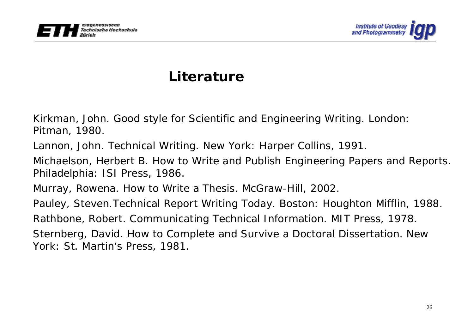



# **Literature**

Kirkman, John. *Good style for Scientific and Engineering Writing*. London: Pitman, 1980.

Lannon, John. *Technical Writing*. New York: Harper Collins, 1991.

Michaelson, Herbert B. *How to Write and Publish Engineering Papers and Reports.* Philadelphia: ISI Press, 1986.

Murray, Rowena. *How to Write a Thesis*. McGraw-Hill, 2002.

Pauley, Steven*.Technical Report Writing Today*. Boston: Houghton Mifflin, 1988.

Rathbone, Robert. *Communicating Technical Information*. MIT Press, 1978.

Sternberg, David. *How to Complete and Survive a Doctoral Dissertation*. New York: St. Martin's Press, 1981.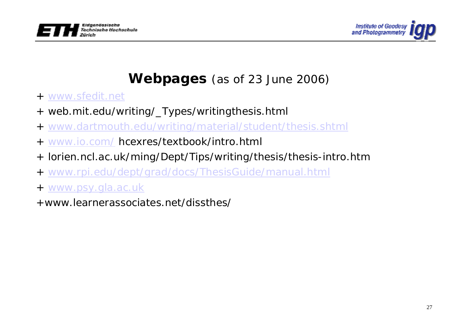



# **Webpages** (as of 23 June 2006)

- + www.sfedit.net
- + web.mit.edu/writing/\_Types/writingthesis.html
- + www.dartmouth.edu/writing/material/student/thesis.shtml
- + www.io.com/ hcexres/textbook/intro.html
- + lorien.ncl.ac.uk/ming/Dept/Tips/writing/thesis/thesis-intro.htm
- + www.rpi.edu/dept/grad/docs/ThesisGuide/manual.html
- + www.psy.gla.ac.uk
- +www.learnerassociates.net/dissthes/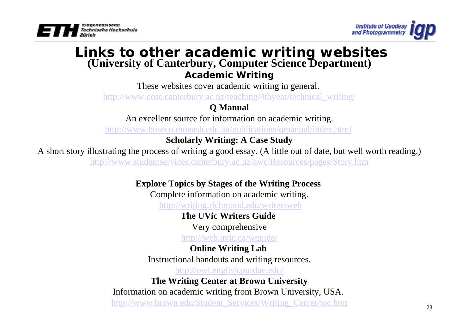



# **Links to other academic writing websites (University of Canterbury, Computer Science Department)**

#### **Academic Writing**

These websites cover academic writing in general.

http://www.cosc.canterbury.ac.nz/teaching/4thyear/technical\_writing/

#### **Q Manual**

An excellent source for information on academic writing.

http://www.buseco.monash.edu.au/publications/qmanual/index.html

#### **Scholarly Writing: A Case Study**

A short story illustrating the process of writing a good essay. (A little out of date, but well worth reading.)

http://www.studentservices.canterbury.ac.nz/awc/Resources/pages/Story.htm

#### **Explore Topics by Stages of the Writing Process**

Complete information on academic writing.

http://writing.richmond.edu/writersweb

#### **The UVic Writers Guide**

Very comprehensive

http://web.uvic.ca/wguide/

#### **Online Writing Lab**

Instructional handouts and writing resources.

http://owl.english.purdue.edu/

#### **The Writing Center at Brown University**

Information on academic writing from Brown University, USA. http://www.brown.edu/Student\_Services/Writing\_Center/toc.htm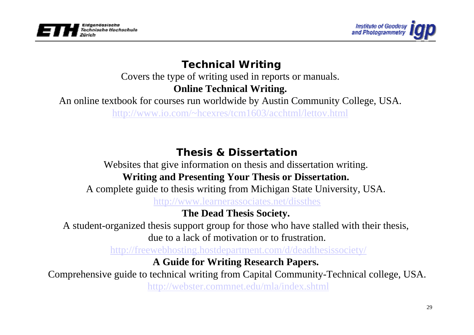



### **Technical Writing**

Covers the type of writing used in reports or manuals.

**Online Technical Writing.**

An online textbook for courses run worldwide by Austin Community College, USA.

http://www.io.com/~hcexres/tcm1603/acchtml/lettov.html

### **Thesis & Dissertation**

Websites that give information on thesis and dissertation writing.

### **Writing and Presenting Your Thesis or Dissertation.**

A complete guide to thesis writing from Michigan State University, USA.

http://www.learnerassociates.net/dissthes

### **The Dead Thesis Society.**

A student-organized thesis support group for those who have stalled with their thesis, due to a lack of motivation or to frustration.

http://freewebhosting.hostdepartment.com/d/deadthesissociety/

### **A Guide for Writing Research Papers.**

Comprehensive guide to technical writing from Capital Community-Technical college, USA. http://webster.commnet.edu/mla/index.shtml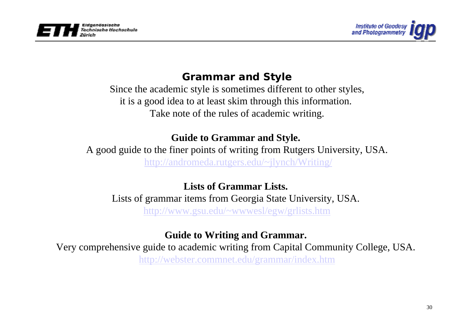



### **Grammar and Style**

Since the academic style is sometimes different to other styles, it is a good idea to at least skim through this information. Take note of the rules of academic writing.

#### **Guide to Grammar and Style.**

A good guide to the finer points of writing from Rutgers University, USA. http://andromeda.rutgers.edu/~jlynch/Writing/

### **Lists of Grammar Lists.**

Lists of grammar items from Georgia State University, USA. http://www.gsu.edu/~wwwesl/egw/grlists.htm

### **Guide to Writing and Grammar.**

Very comprehensive guide to academic writing from Capital Community College, USA. http://webster.commnet.edu/grammar/index.htm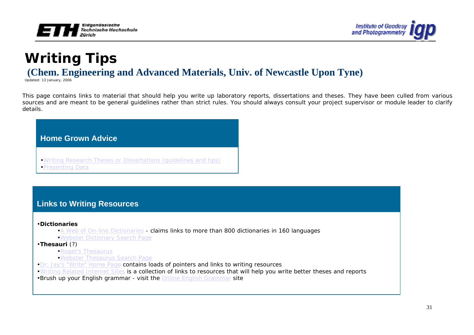



# **Writing Tips (Chem. Engineering and Advanced Materials, Univ. of Newcastle Upon Tyne)**

Updated: 13 January, 2006

This page contains links to material that should help you write up laboratory reports, dissertations and theses. They have been culled from various sources and are meant to be general guidelines rather than strict rules. You should always consult your project supervisor or module leader to clarify details.

#### **Home Grown Advice**

- •Writing Research Theses or Dissertations (guidelines and tips)
- •Presenting Data

#### **Links to Writing Resources**

•**Dictionaries**

- $\bullet$ A Web of On-line Dictionaries claims links to more than 800 dictionaries in 160 languages  $\bullet$
- •Webster Dictionary Search Page
- •**Thesauri** (?)
	- •Roget's Thesaurus
	- •Webster Thesaurus Search Page
- •Dr. Jay's "Write" Home Page contains loads of pointers and links to writing resources
- •Writing Related Internet Sites is a collection of links to resources that will help you write better theses and reports
- •Brush up your English grammar visit the Online English Grammar site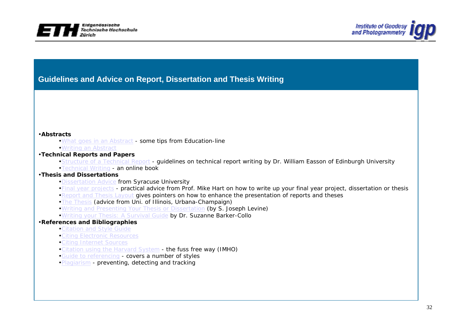



#### **Guidelines and Advice on Report, Dissertation and Thesis Writing**

#### •**Abstracts**

- •What goes in an Abstract some tips from Education-line
- •Writing an Abstract

#### •**Technical Reports and Papers**

- •Structure of a Technical Report guidelines on technical report writing by Dr. William Easson of Edinburgh University
- •Technical Writing an online book

#### •**Thesis and Dissertations**

- •Dissertation Advice from Syracuse University
- •Final year projects practical advice from Prof. Mike Hart on how to write up your final year project, dissertation or thesis
- •Report and Thesis Layout gives pointers on how to enhance the presentation of reports and theses
- •The Thesis (advice from Uni. of Illinois, Urbana-Champaign)
- •Writing and Presenting Your Thesis or Dissertation (by S. Joseph Levine)
- •Writing your Thesis: A Survival Guide by Dr. Suzanne Barker-Collo

#### •**References and Bibliographies**

- •Citation and Style Guide
- •Citing Electronic Resources
- •Citing Internet Sources
- •Citation using the Harvard System the fuss free way (IMHO)
- •Guide to referencing covers a number of styles
- •Plagiarism preventing, detecting and tracking